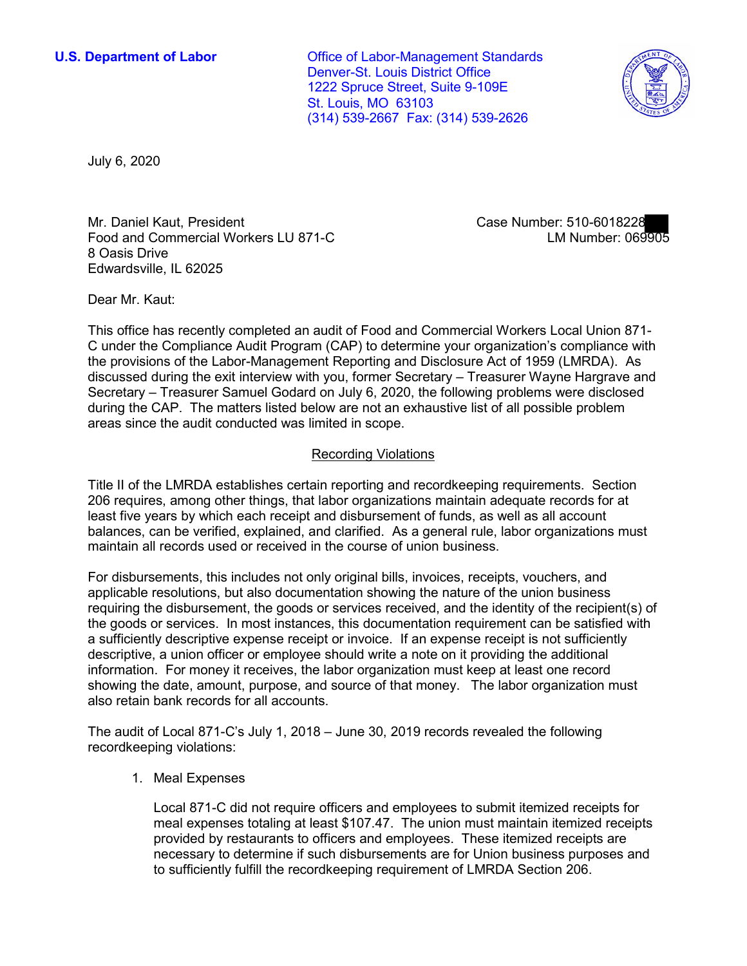(314) 539-2667 Fax: (314) 539-2626 **U.S. Department of Labor Conservative Conservative Conservative Conservative Conservative Conservative Conservative Conservative Conservative Conservative Conservative Conservative Conservative Conservative Conservative** Denver-St. Louis District Office 1222 Spruce Street, Suite 9-109E St. Louis, MO 63103



July 6, 2020

Mr. Daniel Kaut, President Case Number: 510-6018228 Food and Commercial Workers LU 871-C LOC LM Number: 069905 8 Oasis Drive Edwardsville, IL 62025

9<br>9905<br>1995

Dear Mr. Kaut:

 discussed during the exit interview with you, former Secretary – Treasurer Wayne Hargrave and Secretary – Treasurer Samuel Godard on July 6, 2020, the following problems were disclosed during the CAP. The matters listed below are not an exhaustive list of all possible problem This office has recently completed an audit of Food and Commercial Workers Local Union 871- C under the Compliance Audit Program (CAP) to determine your organization's compliance with the provisions of the Labor-Management Reporting and Disclosure Act of 1959 (LMRDA). As areas since the audit conducted was limited in scope.

## Recording Violations

 206 requires, among other things, that labor organizations maintain adequate records for at maintain all records used or received in the course of union business. Title II of the LMRDA establishes certain reporting and recordkeeping requirements. Section least five years by which each receipt and disbursement of funds, as well as all account balances, can be verified, explained, and clarified. As a general rule, labor organizations must

 requiring the disbursement, the goods or services received, and the identity of the recipient(s) of the goods or services. In most instances, this documentation requirement can be satisfied with a sufficiently descriptive expense receipt or invoice. If an expense receipt is not sufficiently information. For money it receives, the labor organization must keep at least one record showing the date, amount, purpose, and source of that money. The labor organization must also retain bank records for all accounts. For disbursements, this includes not only original bills, invoices, receipts, vouchers, and applicable resolutions, but also documentation showing the nature of the union business descriptive, a union officer or employee should write a note on it providing the additional

The audit of Local 871-C's July 1, 2018 – June 30, 2019 records revealed the following recordkeeping violations:

## 1. Meal Expenses

 Local 871-C did not require officers and employees to submit itemized receipts for meal expenses totaling at least \$107.47. The union must maintain itemized receipts provided by restaurants to officers and employees. These itemized receipts are to sufficiently fulfill the recordkeeping requirement of LMRDA Section 206. necessary to determine if such disbursements are for Union business purposes and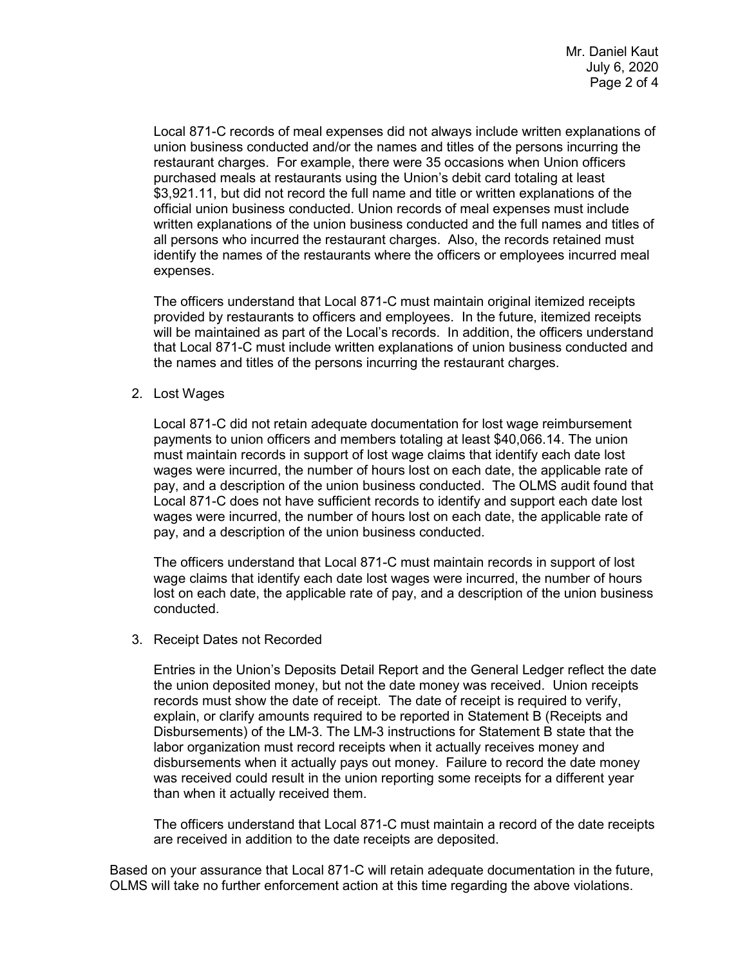official union business conducted. Union records of meal expenses must include all persons who incurred the restaurant charges. Also, the records retained must Local 871-C records of meal expenses did not always include written explanations of union business conducted and/or the names and titles of the persons incurring the restaurant charges. For example, there were 35 occasions when Union officers purchased meals at restaurants using the Union's debit card totaling at least [\\$3,921.11,](https://3,921.11) but did not record the full name and title or written explanations of the written explanations of the union business conducted and the full names and titles of identify the names of the restaurants where the officers or employees incurred meal expenses.

 will be maintained as part of the Local's records. In addition, the officers understand The officers understand that Local 871-C must maintain original itemized receipts provided by restaurants to officers and employees. In the future, itemized receipts that Local 871-C must include written explanations of union business conducted and the names and titles of the persons incurring the restaurant charges.

2. Lost Wages

 pay, and a description of the union business conducted. The OLMS audit found that Local 871-C did not retain adequate documentation for lost wage reimbursement payments to union officers and members totaling at least [\\$40,066.14.](https://40,066.14) The union must maintain records in support of lost wage claims that identify each date lost wages were incurred, the number of hours lost on each date, the applicable rate of Local 871-C does not have sufficient records to identify and support each date lost wages were incurred, the number of hours lost on each date, the applicable rate of pay, and a description of the union business conducted.

The officers understand that Local 871-C must maintain records in support of lost wage claims that identify each date lost wages were incurred, the number of hours lost on each date, the applicable rate of pay, and a description of the union business conducted.

3. Receipt Dates not Recorded

 Entries in the Union's Deposits Detail Report and the General Ledger reflect the date records must show the date of receipt. The date of receipt is required to verify, Disbursements) of the LM-3. The LM-3 instructions for Statement B state that the disbursements when it actually pays out money. Failure to record the date money the union deposited money, but not the date money was received. Union receipts explain, or clarify amounts required to be reported in Statement B (Receipts and labor organization must record receipts when it actually receives money and was received could result in the union reporting some receipts for a different year than when it actually received them.

 The officers understand that Local 871-C must maintain a record of the date receipts are received in addition to the date receipts are deposited.

 Based on your assurance that Local 871-C will retain adequate documentation in the future, OLMS will take no further enforcement action at this time regarding the above violations.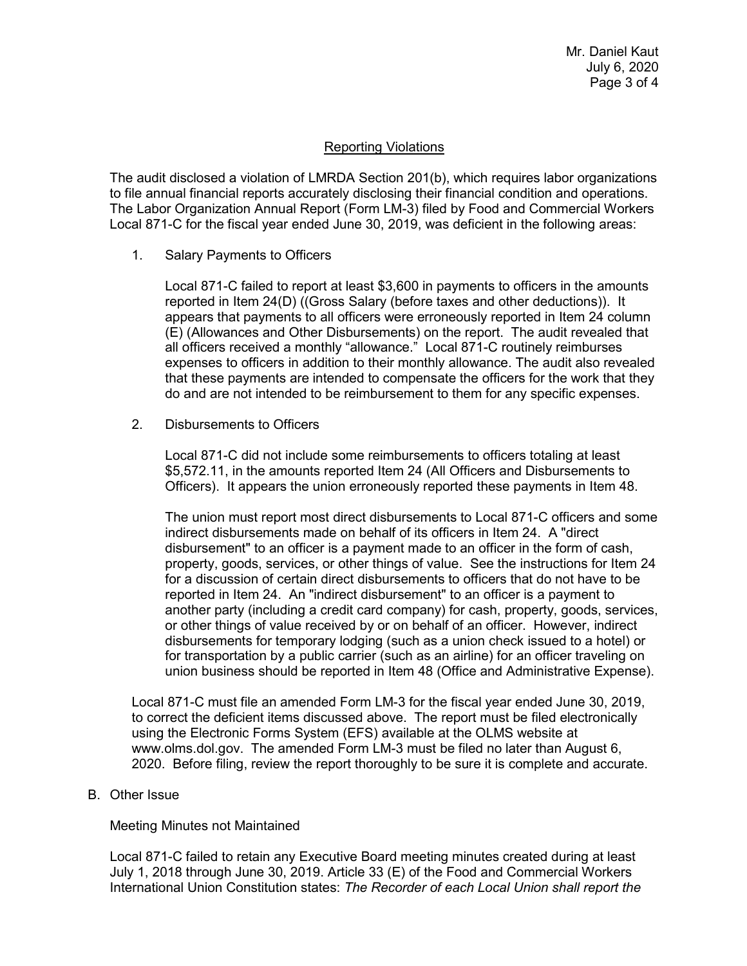## Reporting Violations

to file annual financial reports accurately disclosing their financial condition and operations. The audit disclosed a violation of LMRDA Section 201(b), which requires labor organizations The Labor Organization Annual Report (Form LM-3) filed by Food and Commercial Workers Local 871-C for the fiscal year ended June 30, 2019, was deficient in the following areas:

1. Salary Payments to Officers

 reported in Item 24(D) ((Gross Salary (before taxes and other deductions)). It (E) (Allowances and Other Disbursements) on the report. The audit revealed that all officers received a monthly "allowance." Local 871-C routinely reimburses that these payments are intended to compensate the officers for the work that they do and are not intended to be reimbursement to them for any specific expenses. Local 871-C failed to report at least \$3,600 in payments to officers in the amounts appears that payments to all officers were erroneously reported in Item 24 column expenses to officers in addition to their monthly allowance. The audit also revealed

2. Disbursements to Officers

 Officers). It appears the union erroneously reported these payments in Item 48. Local 871-C did not include some reimbursements to officers totaling at least [\\$5,572.11](https://5,572.11), in the amounts reported Item 24 (All Officers and Disbursements to

 The union must report most direct disbursements to Local 871-C officers and some property, goods, services, or other things of value. See the instructions for Item 24 or other things of value received by or on behalf of an officer. However, indirect for transportation by a public carrier (such as an airline) for an officer traveling on indirect disbursements made on behalf of its officers in Item 24. A "direct disbursement" to an officer is a payment made to an officer in the form of cash, for a discussion of certain direct disbursements to officers that do not have to be reported in Item 24. An "indirect disbursement" to an officer is a payment to another party (including a credit card company) for cash, property, goods, services, disbursements for temporary lodging (such as a union check issued to a hotel) or union business should be reported in Item 48 (Office and Administrative Expense).

 Local 871-C must file an amended Form LM-3 for the fiscal year ended June 30, 2019, to correct the deficient items discussed above. The report must be filed electronically 2020. Before filing, review the report thoroughly to be sure it is complete and accurate. using the Electronic Forms System (EFS) available at the OLMS website at [www.olms.dol.gov.](www.olms.dol.gov) The amended Form LM-3 must be filed no later than August 6,

## B. Other Issue

Meeting Minutes not Maintained

 Local 871-C failed to retain any Executive Board meeting minutes created during at least July 1, 2018 through June 30, 2019. Article 33 (E) of the Food and Commercial Workers International Union Constitution states: *The Recorder of each Local Union shall report the*